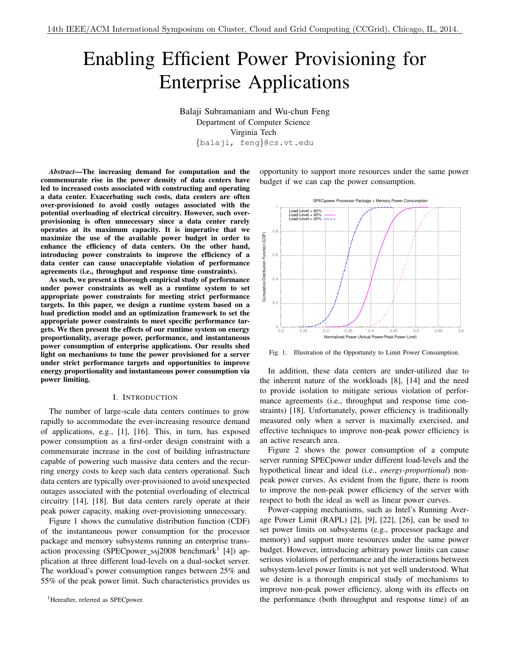# Enabling Efficient Power Provisioning for Enterprise Applications

Balaji Subramaniam and Wu-chun Feng Department of Computer Science Virginia Tech {balaji, feng}@cs.vt.edu

*Abstract*—The increasing demand for computation and the commensurate rise in the power density of data centers have led to increased costs associated with constructing and operating a data center. Exacerbating such costs, data centers are often over-provisioned to avoid costly outages associated with the potential overloading of electrical circuitry. However, such overprovisioning is often unnecessary since a data center rarely operates at its maximum capacity. It is imperative that we maximize the use of the available power budget in order to enhance the efficiency of data centers. On the other hand, introducing power constraints to improve the efficiency of a data center can cause unacceptable violation of performance agreements (i.e., throughput and response time constraints).

As such, we present a thorough empirical study of performance under power constraints as well as a runtime system to set appropriate power constraints for meeting strict performance targets. In this paper, we design a runtime system based on a load prediction model and an optimization framework to set the appropriate power constraints to meet specific performance targets. We then present the effects of our runtime system on energy proportionality, average power, performance, and instantaneous power consumption of enterprise applications. Our results shed light on mechanisms to tune the power provisioned for a server under strict performance targets and opportunities to improve energy proportionality and instantaneous power consumption via power limiting.

# I. INTRODUCTION

The number of large-scale data centers continues to grow rapidly to accommodate the ever-increasing resource demand of applications, e.g., [1], [16]. This, in turn, has exposed power consumption as a first-order design constraint with a commensurate increase in the cost of building infrastructure capable of powering such massive data centers and the recurring energy costs to keep such data centers operational. Such data centers are typically over-provisioned to avoid unexpected outages associated with the potential overloading of electrical circuitry [14], [18]. But data centers rarely operate at their peak power capacity, making over-provisioning unnecessary.

Figure 1 shows the cumulative distribution function (CDF) of the instantaneous power consumption for the processor package and memory subsystems running an enterprise transaction processing (SPECpower\_ssj2008 benchmark<sup>1</sup> [4]) application at three different load-levels on a dual-socket server. The workload's power consumption ranges between 25% and 55% of the peak power limit. Such characteristics provides us opportunity to support more resources under the same power budget if we can cap the power consumption.



Fig. 1. Illustration of the Opportunity to Limit Power Consumption.

In addition, these data centers are under-utilized due to the inherent nature of the workloads [8], [14] and the need to provide isolation to mitigate serious violation of performance agreements (i.e., throughput and response time constraints) [18]. Unfortunately, power efficiency is traditionally measured only when a server is maximally exercised, and effective techniques to improve non-peak power efficiency is an active research area.

Figure 2 shows the power consumption of a compute server running SPECpower under different load-levels and the hypothetical linear and ideal (i.e., *energy-proportional*) nonpeak power curves. As evident from the figure, there is room to improve the non-peak power efficiency of the server with respect to both the ideal as well as linear power curves.

Power-capping mechanisms, such as Intel's Running Average Power Limit (RAPL) [2], [9], [22], [26], can be used to set power limits on subsystems (e.g., processor package and memory) and support more resources under the same power budget. However, introducing arbitrary power limits can cause serious violations of performance and the interactions between subsystem-level power limits is not yet well understood. What we desire is a thorough empirical study of mechanisms to improve non-peak power efficiency, along with its effects on the performance (both throughput and response time) of an

<sup>&</sup>lt;sup>1</sup>Hereafter, referred as SPECpower.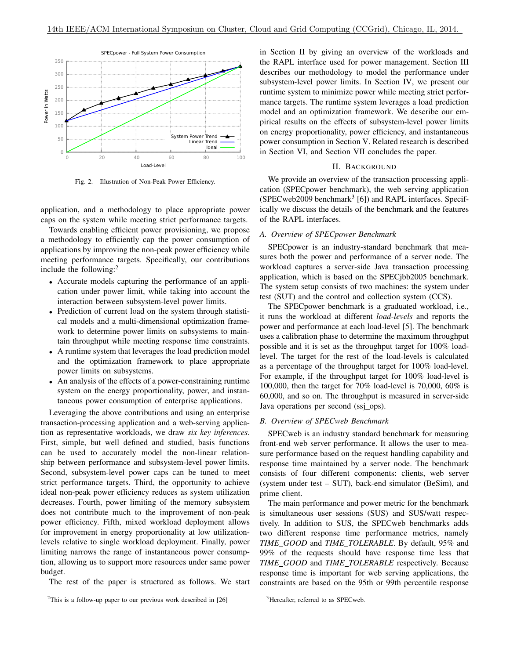

Fig. 2. Illustration of Non-Peak Power Efficiency.

application, and a methodology to place appropriate power caps on the system while meeting strict performance targets.

Towards enabling efficient power provisioning, we propose a methodology to efficiently cap the power consumption of applications by improving the non-peak power efficiency while meeting performance targets. Specifically, our contributions include the following: $<sup>2</sup>$ </sup>

- Accurate models capturing the performance of an application under power limit, while taking into account the interaction between subsystem-level power limits.
- Prediction of current load on the system through statistical models and a multi-dimensional optimization framework to determine power limits on subsystems to maintain throughput while meeting response time constraints.
- A runtime system that leverages the load prediction model and the optimization framework to place appropriate power limits on subsystems.
- An analysis of the effects of a power-constraining runtime system on the energy proportionality, power, and instantaneous power consumption of enterprise applications.

Leveraging the above contributions and using an enterprise transaction-processing application and a web-serving application as representative workloads, we draw *six key inferences*. First, simple, but well defined and studied, basis functions can be used to accurately model the non-linear relationship between performance and subsystem-level power limits. Second, subsystem-level power caps can be tuned to meet strict performance targets. Third, the opportunity to achieve ideal non-peak power efficiency reduces as system utilization decreases. Fourth, power limiting of the memory subsystem does not contribute much to the improvement of non-peak power efficiency. Fifth, mixed workload deployment allows for improvement in energy proportionality at low utilizationlevels relative to single workload deployment. Finally, power limiting narrows the range of instantaneous power consumption, allowing us to support more resources under same power budget.

The rest of the paper is structured as follows. We start

in Section II by giving an overview of the workloads and the RAPL interface used for power management. Section III describes our methodology to model the performance under subsystem-level power limits. In Section IV, we present our runtime system to minimize power while meeting strict performance targets. The runtime system leverages a load prediction model and an optimization framework. We describe our empirical results on the effects of subsystem-level power limits on energy proportionality, power efficiency, and instantaneous power consumption in Section V. Related research is described in Section VI, and Section VII concludes the paper.

#### II. BACKGROUND

We provide an overview of the transaction processing application (SPECpower benchmark), the web serving application (SPECweb2009 benchmark<sup>3</sup> [6]) and RAPL interfaces. Specifically we discuss the details of the benchmark and the features of the RAPL interfaces.

#### *A. Overview of SPECpower Benchmark*

SPECpower is an industry-standard benchmark that measures both the power and performance of a server node. The workload captures a server-side Java transaction processing application, which is based on the SPECjbb2005 benchmark. The system setup consists of two machines: the system under test (SUT) and the control and collection system (CCS).

The SPECpower benchmark is a graduated workload, i.e., it runs the workload at different *load-levels* and reports the power and performance at each load-level [5]. The benchmark uses a calibration phase to determine the maximum throughput possible and it is set as the throughput target for 100% loadlevel. The target for the rest of the load-levels is calculated as a percentage of the throughput target for 100% load-level. For example, if the throughput target for 100% load-level is 100,000, then the target for 70% load-level is 70,000, 60% is 60,000, and so on. The throughput is measured in server-side Java operations per second (ssj ops).

#### *B. Overview of SPECweb Benchmark*

SPECweb is an industry standard benchmark for measuring front-end web server performance. It allows the user to measure performance based on the request handling capability and response time maintained by a server node. The benchmark consists of four different components: clients, web server (system under test – SUT), back-end simulator (BeSim), and prime client.

The main performance and power metric for the benchmark is simultaneous user sessions (SUS) and SUS/watt respectively. In addition to SUS, the SPECweb benchmarks adds two different response time performance metrics, namely *TIME GOOD* and *TIME TOLERABLE*. By default, 95% and 99% of the requests should have response time less that *TIME GOOD* and *TIME TOLERABLE* respectively. Because response time is important for web serving applications, the constraints are based on the 95th or 99th percentile response

<sup>2</sup>This is a follow-up paper to our previous work described in [26]

<sup>&</sup>lt;sup>3</sup>Hereafter, referred to as SPECweb.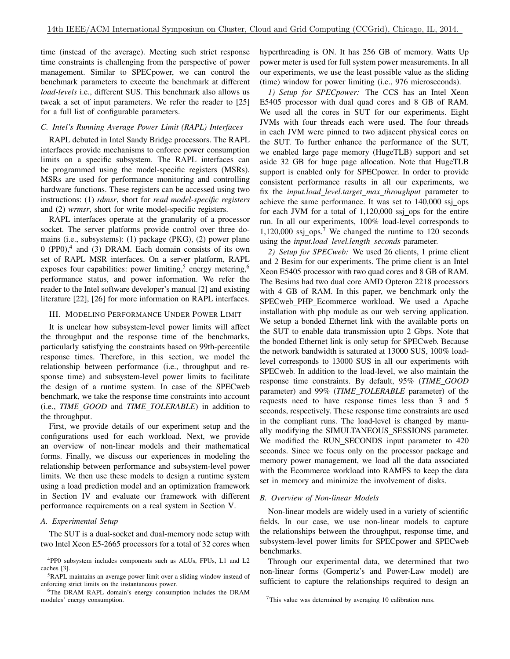time (instead of the average). Meeting such strict response time constraints is challenging from the perspective of power management. Similar to SPECpower, we can control the benchmark parameters to execute the benchmark at different *load-levels* i.e., different SUS. This benchmark also allows us tweak a set of input parameters. We refer the reader to [25] for a full list of configurable parameters.

# *C. Intel's Running Average Power Limit (RAPL) Interfaces*

RAPL debuted in Intel Sandy Bridge processors. The RAPL interfaces provide mechanisms to enforce power consumption limits on a specific subsystem. The RAPL interfaces can be programmed using the model-specific registers (MSRs). MSRs are used for performance monitoring and controlling hardware functions. These registers can be accessed using two instructions: (1) *rdmsr*, short for *read model-specific registers* and (2) *wrmsr*, short for write model-specific registers.

RAPL interfaces operate at the granularity of a processor socket. The server platforms provide control over three domains (i.e., subsystems): (1) package (PKG), (2) power plane 0 (PP0),<sup>4</sup> and (3) DRAM. Each domain consists of its own set of RAPL MSR interfaces. On a server platform, RAPL exposes four capabilities: power limiting,<sup>5</sup> energy metering,<sup>6</sup> performance status, and power information. We refer the reader to the Intel software developer's manual [2] and existing literature [22], [26] for more information on RAPL interfaces.

## III. MODELING PERFORMANCE UNDER POWER LIMIT

It is unclear how subsystem-level power limits will affect the throughput and the response time of the benchmarks, particularly satisfying the constraints based on 99th-percentile response times. Therefore, in this section, we model the relationship between performance (i.e., throughput and response time) and subsystem-level power limits to facilitate the design of a runtime system. In case of the SPECweb benchmark, we take the response time constraints into account (i.e., *TIME GOOD* and *TIME TOLERABLE*) in addition to the throughput.

First, we provide details of our experiment setup and the configurations used for each workload. Next, we provide an overview of non-linear models and their mathematical forms. Finally, we discuss our experiences in modeling the relationship between performance and subsystem-level power limits. We then use these models to design a runtime system using a load prediction model and an optimization framework in Section IV and evaluate our framework with different performance requirements on a real system in Section V.

## *A. Experimental Setup*

The SUT is a dual-socket and dual-memory node setup with two Intel Xeon E5-2665 processors for a total of 32 cores when hyperthreading is ON. It has 256 GB of memory. Watts Up power meter is used for full system power measurements. In all our experiments, we use the least possible value as the sliding (time) window for power limiting (i.e., 976 microseconds).

*1) Setup for SPECpower:* The CCS has an Intel Xeon E5405 processor with dual quad cores and 8 GB of RAM. We used all the cores in SUT for our experiments. Eight JVMs with four threads each were used. The four threads in each JVM were pinned to two adjacent physical cores on the SUT. To further enhance the performance of the SUT, we enabled large page memory (HugeTLB) support and set aside 32 GB for huge page allocation. Note that HugeTLB support is enabled only for SPECpower. In order to provide consistent performance results in all our experiments, we fix the *input.load level.target max throughput* parameter to achieve the same performance. It was set to 140,000 ssj ops for each JVM for a total of 1,120,000 ssj\_ops for the entire run. In all our experiments, 100% load-level corresponds to  $1,120,000 \text{ ss}$  ops.<sup>7</sup> We changed the runtime to 120 seconds using the *input.load level.length seconds* parameter.

*2) Setup for SPECweb:* We used 26 clients, 1 prime client and 2 Besim for our experiments. The prime client is an Intel Xeon E5405 processor with two quad cores and 8 GB of RAM. The Besims had two dual core AMD Opteron 2218 processors with 4 GB of RAM. In this paper, we benchmark only the SPECweb\_PHP\_Ecommerce workload. We used a Apache installation with php module as our web serving application. We setup a bonded Ethernet link with the available ports on the SUT to enable data transmission upto 2 Gbps. Note that the bonded Ethernet link is only setup for SPECweb. Because the network bandwidth is saturated at 13000 SUS, 100% loadlevel corresponds to 13000 SUS in all our experiments with SPECweb. In addition to the load-level, we also maintain the response time constraints. By default, 95% (*TIME GOOD* parameter) and 99% (*TIME TOLERABLE* parameter) of the requests need to have response times less than 3 and 5 seconds, respectively. These response time constraints are used in the compliant runs. The load-level is changed by manually modifying the SIMULTANEOUS SESSIONS parameter. We modified the RUN\_SECONDS input parameter to 420 seconds. Since we focus only on the processor package and memory power management, we load all the data associated with the Ecommerce workload into RAMFS to keep the data set in memory and minimize the involvement of disks.

## *B. Overview of Non-linear Models*

Non-linear models are widely used in a variety of scientific fields. In our case, we use non-linear models to capture the relationships between the throughput, response time, and subsystem-level power limits for SPECpower and SPECweb benchmarks.

Through our experimental data, we determined that two non-linear forms (Gompertz's and Power-Law model) are sufficient to capture the relationships required to design an

<sup>4</sup>PP0 subsystem includes components such as ALUs, FPUs, L1 and L2 caches [3].

<sup>5</sup>RAPL maintains an average power limit over a sliding window instead of enforcing strict limits on the instantaneous power.

<sup>6</sup>The DRAM RAPL domain's energy consumption includes the DRAM modules' energy consumption.

<sup>7</sup>This value was determined by averaging 10 calibration runs.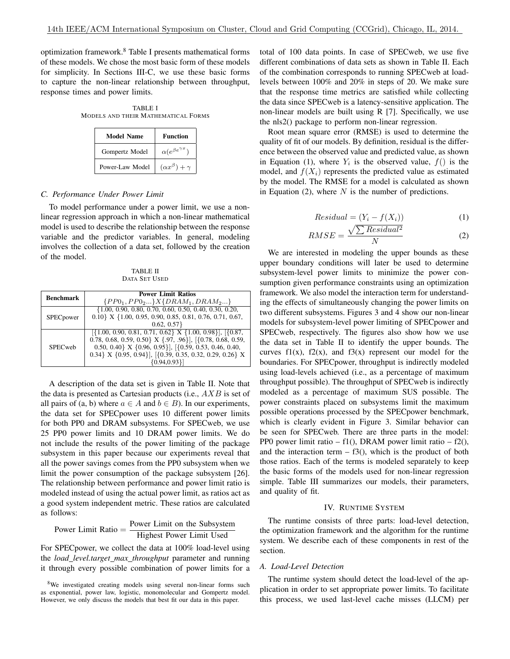optimization framework.<sup>8</sup> Table I presents mathematical forms of these models. We chose the most basic form of these models for simplicity. In Sections III-C, we use these basic forms to capture the non-linear relationship between throughput, response times and power limits.

TABLE I MODELS AND THEIR MATHEMATICAL FORMS

| Model Name      | Function                         |  |  |  |
|-----------------|----------------------------------|--|--|--|
| Gompertz Model  | $\alpha(e^{\beta e^{\gamma x}})$ |  |  |  |
| Power-Law Model | $(\alpha x^{\beta}) + \gamma$    |  |  |  |

## *C. Performance Under Power Limit*

To model performance under a power limit, we use a nonlinear regression approach in which a non-linear mathematical model is used to describe the relationship between the response variable and the predictor variables. In general, modeling involves the collection of a data set, followed by the creation of the model.

TABLE II DATA SET USED

| <b>Benchmark</b> | <b>Power Limit Ratios</b>                                                            |
|------------------|--------------------------------------------------------------------------------------|
|                  | $\{PP0_1, PP0_2\}X\{DRAM_1, DRAM_2\}$                                                |
| <b>SPECpower</b> | $\{1.00, 0.90, 0.80, 0.70, 0.60, 0.50, 0.40, 0.30, 0.20,$                            |
|                  | $0.10$ X {1.00, 0.95, 0.90, 0.85, 0.81, 0.76, 0.71, 0.67,                            |
|                  | 0.62, 0.57                                                                           |
| <b>SPECweb</b>   | $\left[\{1.00, 0.90, 0.81, 0.71, 0.62\} \times \{1.00, 0.98\}\right], \left[\{0.87,$ |
|                  |                                                                                      |
|                  | 0.50, 0.40} $X \{0.96, 0.95\}$ , $\{0.59, 0.53, 0.46, 0.40,$                         |
|                  | 0.34} X {0.95, 0.94}], [{0.39, 0.35, 0.32, 0.29, 0.26} X                             |
|                  | ${0.94.0.93}$                                                                        |

A description of the data set is given in Table II. Note that the data is presented as Cartesian products (i.e.,  $AXB$  is set of all pairs of (a, b) where  $a \in A$  and  $b \in B$ ). In our experiments, the data set for SPECpower uses 10 different power limits for both PP0 and DRAM subsystems. For SPECweb, we use 25 PP0 power limits and 10 DRAM power limits. We do not include the results of the power limiting of the package subsystem in this paper because our experiments reveal that all the power savings comes from the PP0 subsystem when we limit the power consumption of the package subsystem [26]. The relationship between performance and power limit ratio is modeled instead of using the actual power limit, as ratios act as a good system independent metric. These ratios are calculated as follows:

Power Limit Ratio = 
$$
\frac{Power Limit on the Subsystem}{Higher Power Limit Used}
$$

For SPECpower, we collect the data at 100% load-level using the *load level.target max throughput* parameter and running it through every possible combination of power limits for a

<sup>8</sup>We investigated creating models using several non-linear forms such as exponential, power law, logistic, monomolecular and Gompertz model. However, we only discuss the models that best fit our data in this paper.

total of 100 data points. In case of SPECweb, we use five different combinations of data sets as shown in Table II. Each of the combination corresponds to running SPECweb at loadlevels between 100% and 20% in steps of 20. We make sure that the response time metrics are satisfied while collecting the data since SPECweb is a latency-sensitive application. The non-linear models are built using R [7]. Specifically, we use the nls2() package to perform non-linear regression.

Root mean square error (RMSE) is used to determine the quality of fit of our models. By definition, residual is the difference between the observed value and predicted value, as shown in Equation (1), where  $Y_i$  is the observed value,  $f()$  is the model, and  $f(X_i)$  represents the predicted value as estimated by the model. The RMSE for a model is calculated as shown in Equation (2), where  $N$  is the number of predictions.

$$
Residual = (Y_i - f(X_i))
$$
\n(1)

$$
RMSE = \frac{\sqrt{\sum Residual^2}}{N}
$$
 (2)

We are interested in modeling the upper bounds as these upper boundary conditions will later be used to determine subsystem-level power limits to minimize the power consumption given performance constraints using an optimization framework. We also model the interaction term for understanding the effects of simultaneously changing the power limits on two different subsystems. Figures 3 and 4 show our non-linear models for subsystem-level power limiting of SPECpower and SPECweb, respectively. The figures also show how we use the data set in Table II to identify the upper bounds. The curves  $f(x)$ ,  $f(x)$ , and  $f(x)$  represent our model for the boundaries. For SPECpower, throughput is indirectly modeled using load-levels achieved (i.e., as a percentage of maximum throughput possible). The throughput of SPECweb is indirectly modeled as a percentage of maximum SUS possible. The power constraints placed on subsystems limit the maximum possible operations processed by the SPECpower benchmark, which is clearly evident in Figure 3. Similar behavior can be seen for SPECweb. There are three parts in the model: PP0 power limit ratio – f1(), DRAM power limit ratio – f2(), and the interaction term  $- f3()$ , which is the product of both those ratios. Each of the terms is modeled separately to keep the basic forms of the models used for non-linear regression simple. Table III summarizes our models, their parameters, and quality of fit.

# IV. RUNTIME SYSTEM

The runtime consists of three parts: load-level detection, the optimization framework and the algorithm for the runtime system. We describe each of these components in rest of the section.

# *A. Load-Level Detection*

The runtime system should detect the load-level of the application in order to set appropriate power limits. To facilitate this process, we used last-level cache misses (LLCM) per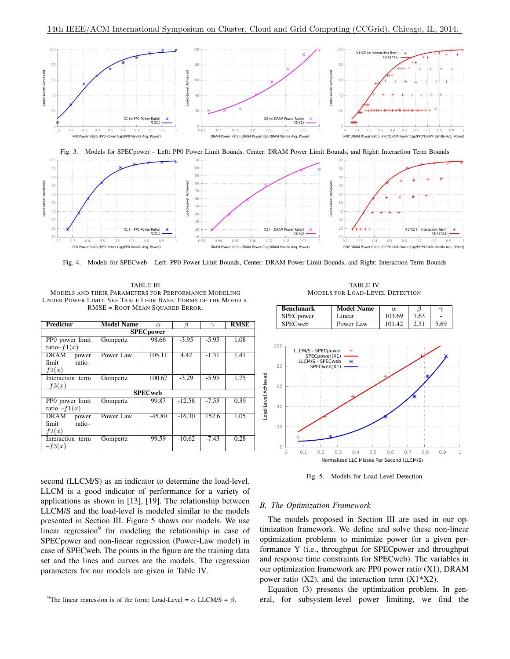

Fig. 4. Models for SPECweb – Left: PP0 Power Limit Bounds, Center: DRAM Power Limit Bounds, and Right: Interaction Term Bounds

TABLE III MODELS AND THEIR PARAMETERS FOR PERFORMANCE MODELING UNDER POWER LIMIT. SEE TABLE I FOR BASIC FORMS OF THE MODELS. RMSE = ROOT MEAN SQUARED ERROR.

| <b>Predictor</b>     | <b>Model Name</b> | $\alpha$ | ß        | $\gamma$ | <b>RMSE</b> |  |  |
|----------------------|-------------------|----------|----------|----------|-------------|--|--|
| <b>SPECpower</b>     |                   |          |          |          |             |  |  |
| PP0 power limit      | Gompertz          | 98.66    | $-3.95$  | $-5.95$  | 1.08        |  |  |
| ratio- $f1(x)$       |                   |          |          |          |             |  |  |
| DRAM<br>power        | Power Law         | 105.11   | 4.42     | $-1.31$  | 1.41        |  |  |
| ratio-<br>limit      |                   |          |          |          |             |  |  |
| f2(x)                |                   |          |          |          |             |  |  |
| Interaction term     | Gompertz          | 100.67   | $-3.29$  | $-5.95$  | 1.75        |  |  |
| $-f3(x)$             |                   |          |          |          |             |  |  |
| <b>SPECweb</b>       |                   |          |          |          |             |  |  |
| PP0 power limit      | Gompertz          | 99.87    | $-12.58$ | $-7.53$  | 0.39        |  |  |
| ratio $-f1(x)$       |                   |          |          |          |             |  |  |
| <b>DRAM</b><br>power | Power Law         | $-45.80$ | $-16.30$ | 152.6    | 1.05        |  |  |
| ratio-<br>limit      |                   |          |          |          |             |  |  |
| f2(x)                |                   |          |          |          |             |  |  |
| Interaction term     | Gompertz          | 99.59    | $-10.62$ | $-7.43$  | 0.28        |  |  |
| $-f3(x)$             |                   |          |          |          |             |  |  |

second (LLCM/S) as an indicator to determine the load-level. LLCM is a good indicator of performance for a variety of applications as shown in [13], [19]. The relationship between LLCM/S and the load-level is modeled similar to the models presented in Section III. Figure 5 shows our models. We use linear regression<sup>9</sup> for modeling the relationship in case of SPECpower and non-linear regression (Power-Law model) in case of SPECweb. The points in the figure are the training data set and the lines and curves are the models. The regression parameters for our models are given in Table IV.

TABLE IV MODELS FOR LOAD-LEVEL DETECTION



Fig. 5. Models for Load-Level Detection

#### *B. The Optimization Framework*

The models proposed in Section III are used in our optimization framework. We define and solve these non-linear optimization problems to minimize power for a given performance Y (i.e., throughput for SPECpower and throughput and response time constraints for SPECweb). The variables in our optimization framework are PP0 power ratio (X1), DRAM power ratio  $(X2)$ , and the interaction term  $(X1*X2)$ .

Equation (3) presents the optimization problem. In general, for subsystem-level power limiting, we find the

<sup>&</sup>lt;sup>9</sup>The linear regression is of the form: Load-Level =  $\alpha$  LLCM/S +  $\beta$ .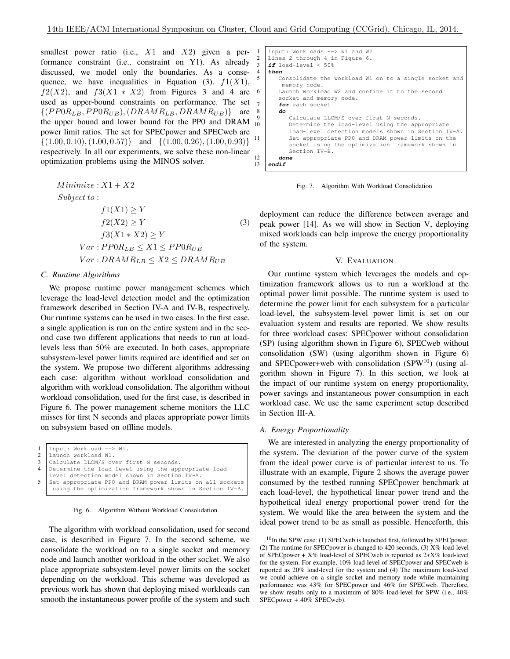smallest power ratio (i.e.,  $X1$  and  $X2$ ) given a performance constraint (i.e., constraint on Y1). As already discussed, we model only the boundaries. As a consequence, we have inequalities in Equation (3).  $f1(X1)$ ,  $f2(X2)$ , and  $f3(X1 * X2)$  from Figures 3 and 4 are used as upper-bound constraints on performance. The set  $\{(PP0R<sub>LB</sub>, PP0R<sub>UB</sub>), (DRAMR<sub>LB</sub>, DRAMR<sub>UB</sub>)\}$  are the upper bound and lower bound for the PP0 and DRAM power limit ratios. The set for SPECpower and SPECweb are  $\{(1.00, 0.10), (1.00, 0.57)\}$  and  $\{(1.00, 0.26), (1.00, 0.93)\}$ respectively. In all our experiments, we solve these non-linear optimization problems using the MINOS solver. 12 **done** 13 **endif**

$$
Minimize: X1 + X2
$$
  
\n
$$
Subject to: \t\t f1(X1) \ge Y
$$
  
\n
$$
f2(X2) \ge Y \t\t (3)
$$
  
\n
$$
f3(X1 * X2) \ge Y
$$
  
\n
$$
Var: PPOR_{LB} \le X1 \le PPOR_{UB}
$$
  
\n
$$
Var: DRAMR_{LB} \le X2 \le DRAMR_{UB}
$$

#### *C. Runtime Algorithms*

We propose runtime power management schemes which leverage the load-level detection model and the optimization framework described in Section IV-A and IV-B, respectively. Our runtime systems can be used in two cases. In the first case, a single application is run on the entire system and in the second case two different applications that needs to run at loadlevels less than 50% are executed. In both cases, appropriate subsystem-level power limits required are identified and set on the system. We propose two different algorithms addressing each case: algorithm without workload consolidation and algorithm with workload consolidation. The algorithm without workload consolidation, used for the first case, is described in Figure 6. The power management scheme monitors the LLC misses for first N seconds and places appropriate power limits on subsystem based on offline models.

```
1 Input: Workload --> W1.
\frac{2}{3} Launch workload W1.
   Calculate LLCM/S over first N seconds.
4 Determine the load-level using the appropriate load-
   level detection model shown in Section IV-A.
5 Set appropriate PP0 and DRAM power limits on all sockets
    using the optimization framework shown in Section IV-B.
```
Fig. 6. Algorithm Without Workload Consolidation

The algorithm with workload consolidation, used for second case, is described in Figure 7. In the second scheme, we consolidate the workload on to a single socket and memory node and launch another workload in the other socket. We also place appropriate subsystem-level power limits on the socket depending on the workload. This scheme was developed as previous work has shown that deploying mixed workloads can smooth the instantaneous power profile of the system and such

| 1<br>2         | Input: Workloads --> W1 and W2<br>Lines 2 through 4 in Figure 6.      |
|----------------|-----------------------------------------------------------------------|
| 3              | if load-level $< 50\%$                                                |
| $\overline{4}$ | then                                                                  |
| 5              | Consolidate the workload W1 on to a single socket and<br>memory node. |
| 6              | Launch workload W2 and confine it to the second                       |
|                | socket and memory node.                                               |
| 7              | for each socket                                                       |
| 8              | do                                                                    |
| 9              | Calculate LLCM/S over first N seconds.                                |
| 10             | Determine the load-level using the appropriate                        |
|                | load-level detection models shown in Section IV-A.                    |
| 11             | Set appropriate PPO and DRAM power limits on the                      |
|                | socket using the optimization framework shown in                      |
|                | Section TV-B.                                                         |
|                |                                                                       |
| 12             | done                                                                  |
| 13             | endif                                                                 |

Fig. 7. Algorithm With Workload Consolidation

deployment can reduce the difference between average and peak power [14]. As we will show in Section V, deploying mixed workloads can help improve the energy proportionality of the system.

# V. EVALUATION

Our runtime system which leverages the models and optimization framework allows us to run a workload at the optimal power limit possible. The runtime system is used to determine the power limit for each subsystem for a particular load-level, the subsystem-level power limit is set on our evaluation system and results are reported. We show results for three workload cases: SPECpower without consolidation (SP) (using algorithm shown in Figure 6), SPECweb without consolidation (SW) (using algorithm shown in Figure 6) and SPEC power+web with consolidation  $(SPW<sup>10</sup>)$  (using algorithm shown in Figure 7). In this section, we look at the impact of our runtime system on energy proportionality, power savings and instantaneous power consumption in each workload case. We use the same experiment setup described in Section III-A.

#### *A. Energy Proportionality*

We are interested in analyzing the energy proportionality of the system. The deviation of the power curve of the system from the ideal power curve is of particular interest to us. To illustrate with an example, Figure 2 shows the average power consumed by the testbed running SPECpower benchmark at each load-level, the hypothetical linear power trend and the hypothetical ideal energy proportional power trend for the system. We would like the area between the system and the ideal power trend to be as small as possible. Henceforth, this

<sup>&</sup>lt;sup>10</sup>In the SPW case: (1) SPECweb is launched first, followed by SPECpower, (2) The runtime for SPEC power is changed to 420 seconds, (3)  $X\%$  load-level of SPECpower + X% load-level of SPECweb is reported as 2∗X% load-level for the system. For example, 10% load-level of SPECpower and SPECweb is reported as 20% load-level for the system and (4) The maximum load-level we could achieve on a single socket and memory node while maintaining performance was 43% for SPECpower and 46% for SPECweb. Therefore, we show results only to a maximum of 80% load-level for SPW (i.e., 40% SPECpower + 40% SPECweb).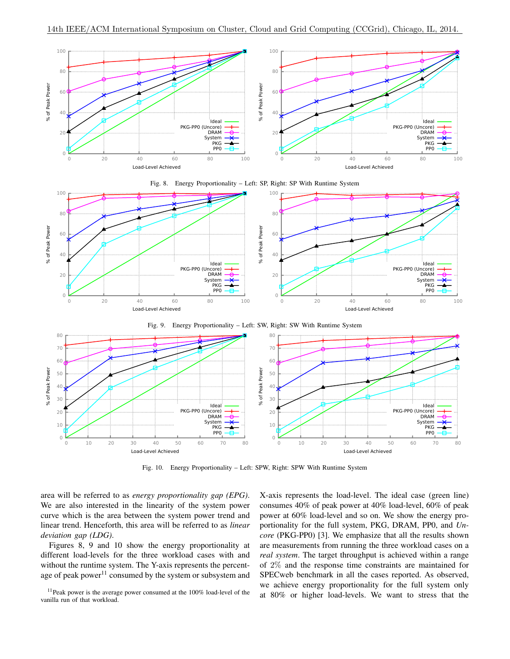





Fig. 9. Energy Proportionality – Left: SW, Right: SW With Runtime System



Fig. 10. Energy Proportionality – Left: SPW, Right: SPW With Runtime System

area will be referred to as *energy proportionality gap (EPG)*. We are also interested in the linearity of the system power curve which is the area between the system power trend and linear trend. Henceforth, this area will be referred to as *linear deviation gap (LDG)*.

Figures 8, 9 and 10 show the energy proportionality at different load-levels for the three workload cases with and without the runtime system. The Y-axis represents the percentage of peak power $^{11}$  consumed by the system or subsystem and X-axis represents the load-level. The ideal case (green line) consumes 40% of peak power at 40% load-level, 60% of peak power at 60% load-level and so on. We show the energy proportionality for the full system, PKG, DRAM, PP0, and *Uncore* (PKG-PP0) [3]. We emphasize that all the results shown are measurements from running the three workload cases on a *real system*. The target throughput is achieved within a range of 2% and the response time constraints are maintained for SPECweb benchmark in all the cases reported. As observed, we achieve energy proportionality for the full system only at 80% or higher load-levels. We want to stress that the

<sup>11</sup>Peak power is the average power consumed at the 100% load-level of the vanilla run of that workload.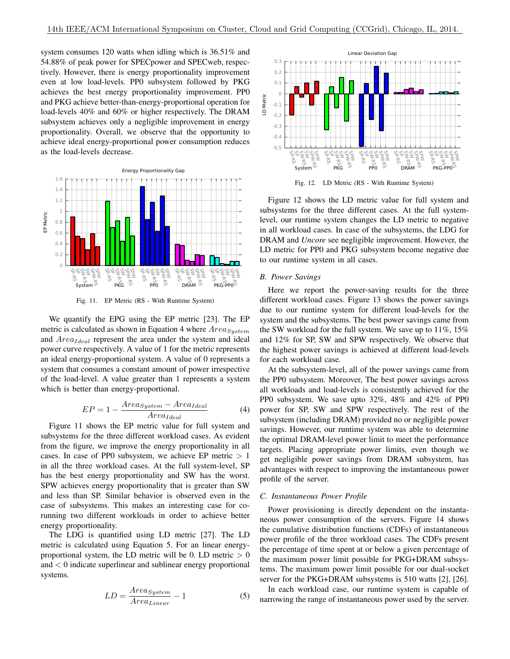system consumes 120 watts when idling which is 36.51% and 54.88% of peak power for SPECpower and SPECweb, respectively. However, there is energy proportionality improvement even at low load-levels. PP0 subsystem followed by PKG achieves the best energy proportionality improvement. PP0 and PKG achieve better-than-energy-proportional operation for load-levels 40% and 60% or higher respectively. The DRAM subsystem achieves only a negligible improvement in energy proportionality. Overall, we observe that the opportunity to achieve ideal energy-proportional power consumption reduces as the load-levels decrease.



Fig. 11. EP Metric (RS - With Runtime System)

We quantify the EPG using the EP metric [23]. The EP metric is calculated as shown in Equation 4 where  $Area_{System}$ and  $Area_{Ideal}$  represent the area under the system and ideal power curve respectively. A value of 1 for the metric represents an ideal energy-proportional system. A value of 0 represents a system that consumes a constant amount of power irrespective of the load-level. A value greater than 1 represents a system which is better than energy-proportional.

$$
EP = 1 - \frac{Area_{System} - Area_{Ideal}}{Area_{Ideal}} \tag{4}
$$

Figure 11 shows the EP metric value for full system and subsystems for the three different workload cases. As evident from the figure, we improve the energy proportionality in all cases. In case of PP0 subsystem, we achieve EP metric  $> 1$ in all the three workload cases. At the full system-level, SP has the best energy proportionality and SW has the worst. SPW achieves energy proportionality that is greater than SW and less than SP. Similar behavior is observed even in the case of subsystems. This makes an interesting case for corunning two different workloads in order to achieve better energy proportionality.

The LDG is quantified using LD metric [27]. The LD metric is calculated using Equation 5. For an linear energyproportional system, the LD metric will be 0. LD metric  $> 0$ and < 0 indicate superlinear and sublinear energy proportional systems.

$$
LD = \frac{Area_{System}}{Area_{Linear}} - 1
$$
 (5)



Fig. 12. LD Metric (RS - With Runtime System)

Figure 12 shows the LD metric value for full system and subsystems for the three different cases. At the full systemlevel, our runtime system changes the LD metric to negative in all workload cases. In case of the subsystems, the LDG for DRAM and *Uncore* see negligible improvement. However, the LD metric for PP0 and PKG subsystem become negative due to our runtime system in all cases.

#### *B. Power Savings*

Here we report the power-saving results for the three different workload cases. Figure 13 shows the power savings due to our runtime system for different load-levels for the system and the subsystems. The best power savings came from the SW workload for the full system. We save up to 11%, 15% and 12% for SP, SW and SPW respectively. We observe that the highest power savings is achieved at different load-levels for each workload case.

At the subsystem-level, all of the power savings came from the PP0 subsystem. Moreover, The best power savings across all workloads and load-levels is consistently achieved for the PP0 subsystem. We save upto 32%, 48% and 42% of PP0 power for SP, SW and SPW respectively. The rest of the subsystem (including DRAM) provided no or negligible power savings. However, our runtime system was able to determine the optimal DRAM-level power limit to meet the performance targets. Placing appropriate power limits, even though we get negligible power savings from DRAM subsystem, has advantages with respect to improving the instantaneous power profile of the server.

# *C. Instantaneous Power Profile*

Power provisioning is directly dependent on the instantaneous power consumption of the servers. Figure 14 shows the cumulative distribution functions (CDFs) of instantaneous power profile of the three workload cases. The CDFs present the percentage of time spent at or below a given percentage of the maximum power limit possible for PKG+DRAM subsystems. The maximum power limit possible for our dual-socket server for the PKG+DRAM subsystems is 510 watts [2], [26].

In each workload case, our runtime system is capable of narrowing the range of instantaneous power used by the server.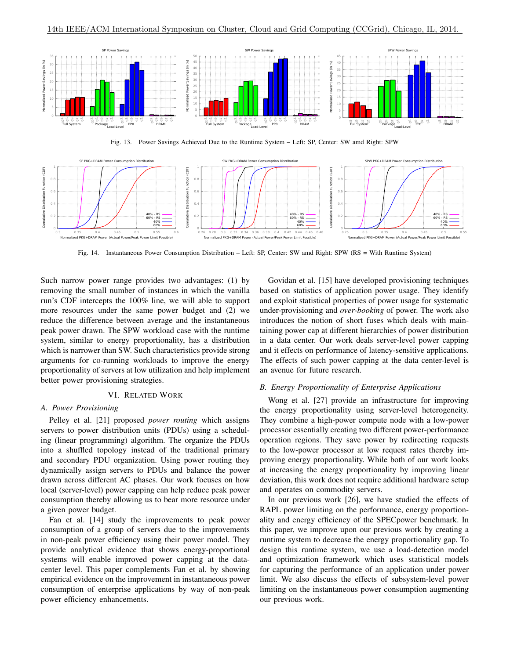

Fig. 13. Power Savings Achieved Due to the Runtime System – Left: SP, Center: SW amd Right: SPW



Fig. 14. Instantaneous Power Consumption Distribution – Left: SP, Center: SW amd Right: SPW (RS = With Runtime System)

Such narrow power range provides two advantages: (1) by removing the small number of instances in which the vanilla run's CDF intercepts the 100% line, we will able to support more resources under the same power budget and (2) we reduce the difference between average and the instantaneous peak power drawn. The SPW workload case with the runtime system, similar to energy proportionality, has a distribution which is narrower than SW. Such characteristics provide strong arguments for co-running workloads to improve the energy proportionality of servers at low utilization and help implement better power provisioning strategies.

#### VI. RELATED WORK

#### *A. Power Provisioning*

Pelley et al. [21] proposed *power routing* which assigns servers to power distribution units (PDUs) using a scheduling (linear programming) algorithm. The organize the PDUs into a shuffled topology instead of the traditional primary and secondary PDU organization. Using power routing they dynamically assign servers to PDUs and balance the power drawn across different AC phases. Our work focuses on how local (server-level) power capping can help reduce peak power consumption thereby allowing us to bear more resource under a given power budget.

Fan et al. [14] study the improvements to peak power consumption of a group of servers due to the improvements in non-peak power efficiency using their power model. They provide analytical evidence that shows energy-proportional systems will enable improved power capping at the datacenter level. This paper complements Fan et al. by showing empirical evidence on the improvement in instantaneous power consumption of enterprise applications by way of non-peak power efficiency enhancements.

Govidan et al. [15] have developed provisioning techniques based on statistics of application power usage. They identify and exploit statistical properties of power usage for systematic under-provisioning and *over-booking* of power. The work also introduces the notion of short fuses which deals with maintaining power cap at different hierarchies of power distribution in a data center. Our work deals server-level power capping and it effects on performance of latency-sensitive applications. The effects of such power capping at the data center-level is an avenue for future research.

## *B. Energy Proportionality of Enterprise Applications*

Wong et al. [27] provide an infrastructure for improving the energy proportionality using server-level heterogeneity. They combine a high-power compute node with a low-power processor essentially creating two different power-performance operation regions. They save power by redirecting requests to the low-power processor at low request rates thereby improving energy proportionality. While both of our work looks at increasing the energy proportionality by improving linear deviation, this work does not require additional hardware setup and operates on commodity servers.

In our previous work [26], we have studied the effects of RAPL power limiting on the performance, energy proportionality and energy efficiency of the SPECpower benchmark. In this paper, we improve upon our previous work by creating a runtime system to decrease the energy proportionality gap. To design this runtime system, we use a load-detection model and optimization framework which uses statistical models for capturing the performance of an application under power limit. We also discuss the effects of subsystem-level power limiting on the instantaneous power consumption augmenting our previous work.